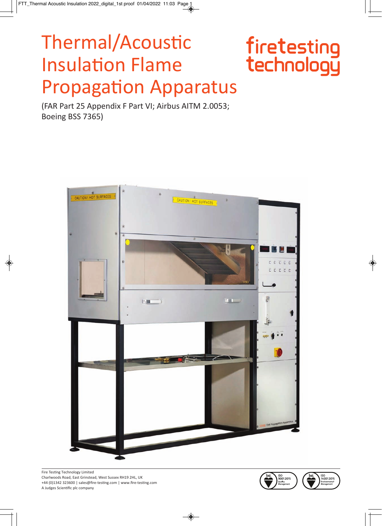# Thermal/Acoustic **Insulation Flame Propagation Apparatus**

# firetesting<br>technology

(FAR Part 25 Appendix F Part VI; Airbus AITM 2.0053; Boeing BSS 7365)



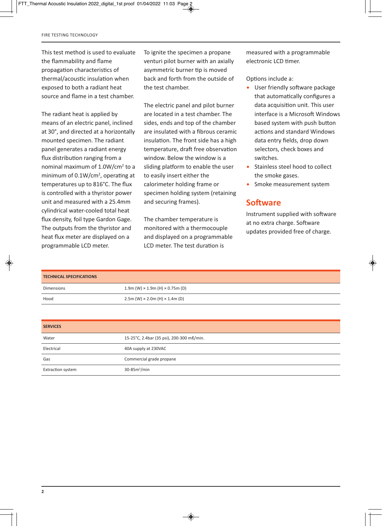This test method is used to evaluate the flammability and flame propagation characteristics of thermal/acoustic insulation when exposed to both a radiant heat source and flame in a test chamber.

The radiant heat is applied by means of an electric panel, inclined at 30°, and directed at a horizontally mounted specimen. The radiant panel generates a radiant energy flux distribution ranging from a nominal maximum of 1.0W/cm2 to a minimum of 0.1W/cm<sup>2</sup>, operating at temperatures up to 816°C. The flux is controlled with a thyristor power unit and measured with a 25.4mm cylindrical water-cooled total heat flux density, foil type Gardon Gage. The outputs from the thyristor and heat flux meter are displayed on a programmable LCD meter.

To ignite the specimen a propane venturi pilot burner with an axially asymmetric burner tip is moved back and forth from the outside of the test chamber.

The electric panel and pilot burner are located in a test chamber. The sides, ends and top of the chamber are insulated with a fibrous ceramic insulation. The front side has a high temperature, draft free observation window. Below the window is a sliding platform to enable the user to easily insert either the calorimeter holding frame or specimen holding system (retaining and securing frames).

The chamber temperature is monitored with a thermocouple and displayed on a programmable LCD meter. The test duration is

measured with a programmable electronic LCD timer.

Options include a:

- User friendly software package that automatically configures a data acquisition unit. This user interface is a Microsoft Windows based system with push button actions and standard Windows data entry fields, drop down selectors, check boxes and switches.
- Stainless steel hood to collect the smoke gases.
- Smoke measurement system

#### **Software**

Instrument supplied with software at no extra charge. Software updates provided free of charge.

| <b>TECHNICAL SPECIFICATIONS</b> |                                                |
|---------------------------------|------------------------------------------------|
| <b>Dimensions</b>               | 1.9m (W) $\times$ 1.9m (H) $\times$ 0.75m (D)  |
| Hood                            | $2.5m$ (W) $\times$ 2.0m (H) $\times$ 1.4m (D) |
|                                 |                                                |

| <b>SERVICES</b>          |                                           |
|--------------------------|-------------------------------------------|
| Water                    | 15-25°C, 2.4bar (35 psi), 200-300 me/min. |
| Electrical               | 40A supply at 230VAC                      |
| Gas                      | Commercial grade propane                  |
| <b>Extraction system</b> | $30-85m3/min$                             |